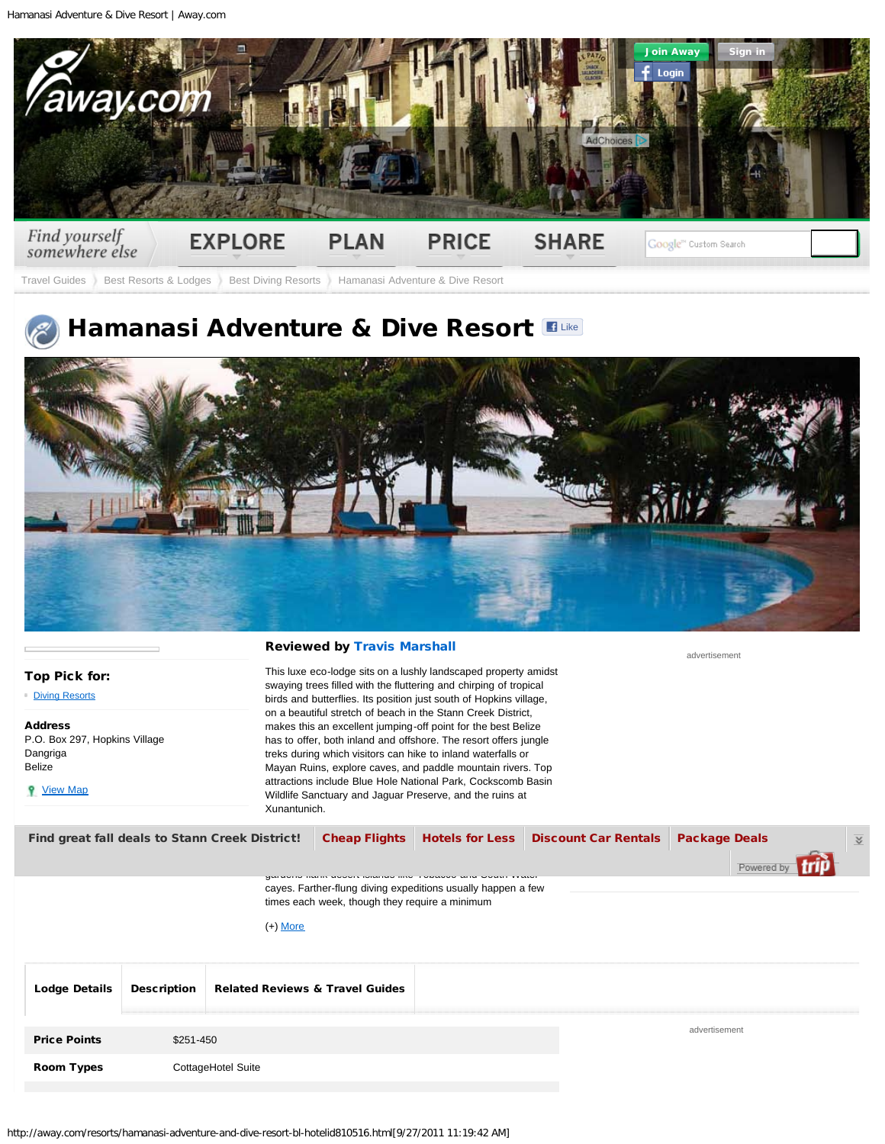<span id="page-0-0"></span>Hamanasi Adventure & Dive Resort | Away.com



[Travel Guides](http://away.com/index.html) [Best Resorts & Lodges](http://away.com/plan-a-trip/best-resorts-and-lodges-sp.html) [Best Diving Resorts](http://away.com/resorts/top-diving-resorts-bd-propid5.html) Hamanasi Adventure & Dive Resort

## Hamanasi Adventure & Dive Resort ELIKE



| Top Pick for: |  |
|---------------|--|
|               |  |

[Diving Resorts](http://away.com/resorts/top-diving-resorts-bd-propid5.html)

Address P.O. Box 297, Hopkins Village Dangriga Belize

**9** <u>[View Map](#page-1-0)</u>

## Reviewed by Travis Marshall

This luxe eco-lodge sits on a lushly landscaped property amidst swaying trees filled with the fluttering and chirping of tropical birds and butterflies. Its position just south of Hopkins village, on a beautiful stretch of beach in the Stann Creek District, makes this an excellent jumping-off point for the best Belize has to offer, both inland and offshore. The resort offers jungle treks during which visitors can hike to inland waterfalls or Mayan Ruins, explore caves, and paddle mountain rivers. Top attractions include Blue Hole National Park, Cockscomb Basin Wildlife Sanctuary and Jaguar Preserve, and the ruins at Xunantunich.

advertisement

| Find great fall deals to Stann Creek District!    | <b>Cheap Flights</b>                           |                                                              | <b>Hotels for Less   Discount Car Rentals  </b> | <b>Package Deals</b>   | $\overline{\mathbf{v}}$ |
|---------------------------------------------------|------------------------------------------------|--------------------------------------------------------------|-------------------------------------------------|------------------------|-------------------------|
|                                                   |                                                |                                                              |                                                 | Powered by <b>Trip</b> |                         |
|                                                   | times each week, though they require a minimum | cayes. Farther-flung diving expeditions usually happen a few |                                                 |                        |                         |
| $\mathbf{A}$ . A defined as a set of $\mathbf{A}$ |                                                |                                                              |                                                 |                        |                         |

(+) [More](javascript: void(0);)

| <b>Lodge Details</b> | <b>Description</b> | <b>Related Reviews &amp; Travel Guides</b> |  |               |
|----------------------|--------------------|--------------------------------------------|--|---------------|
| <b>Price Points</b>  | \$251-450          |                                            |  | advertisement |
| <b>Room Types</b>    | CottageHotel Suite |                                            |  |               |